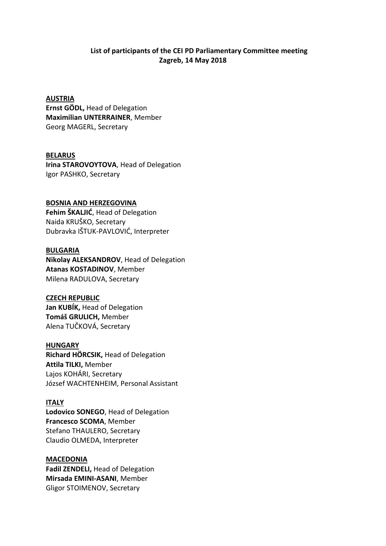# **List of participants of the CEI PD Parliamentary Committee meeting Zagreb, 14 May 2018**

# **AUSTRIA**

**Ernst GÖDL,** Head of Delegation **Maximilian UNTERRAINER**, Member Georg MAGERL, Secretary

## **BELARUS**

**Irina STAROVOYTOVA**, Head of Delegation Igor PASHKO, Secretary

# **BOSNIA AND HERZEGOVINA**

**Fehim ŠKALJIĆ**, Head of Delegation Naida KRUŠKO, Secretary Dubravka IŠTUK-PAVLOVIĆ, Interpreter

#### **BULGARIA**

**Nikolay ALEKSANDROV**, Head of Delegation **Atanas KOSTADINOV**, Member Milena RADULOVA, Secretary

# **CZECH REPUBLIC**

**Jan KUBÍK,** Head of Delegation **Tomáš GRULICH,** Member Alena TUČKOVÁ, Secretary

#### **HUNGARY**

**Richard HÖRCSIK,** Head of Delegation **Attila TILKI,** Member Lajos KOHÁRI, Secretary József WACHTENHEIM, Personal Assistant

# **ITALY**

**Lodovico SONEGO**, Head of Delegation **Francesco SCOMA**, Member Stefano THAULERO, Secretary Claudio OLMEDA, Interpreter

# **MACEDONIA**

**Fadil ZENDELI,** Head of Delegation **Mirsada EMINI-ASANI**, Member Gligor STOIMENOV, Secretary